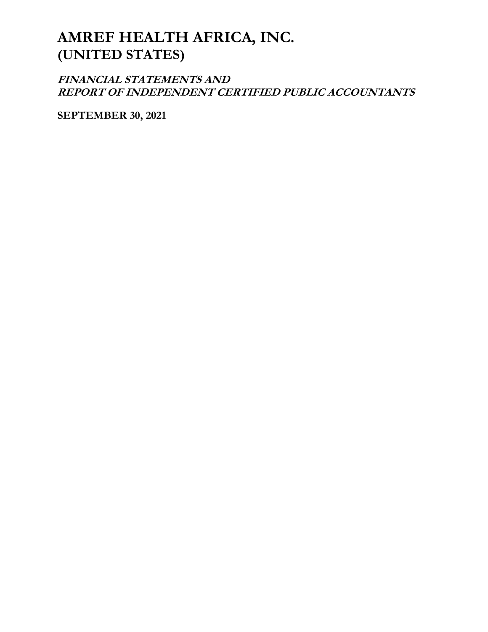**FINANCIAL STATEMENTS AND REPORT OF INDEPENDENT CERTIFIED PUBLIC ACCOUNTANTS**

**SEPTEMBER 30, 2021**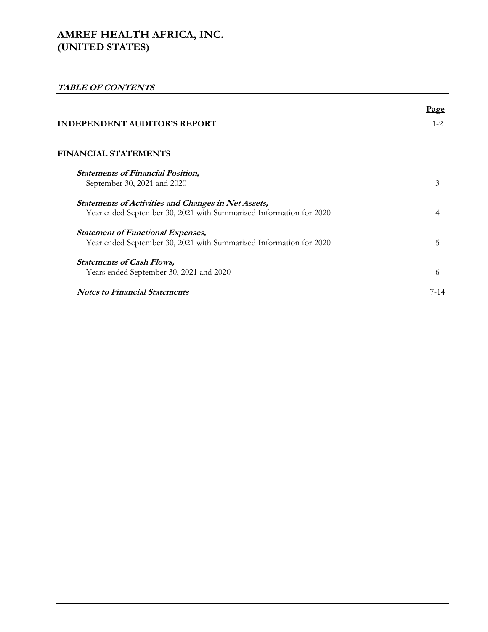# **TABLE OF CONTENTS**

|                                                                                                                                  | Page    |
|----------------------------------------------------------------------------------------------------------------------------------|---------|
| <b>INDEPENDENT AUDITOR'S REPORT</b>                                                                                              | $1 - 2$ |
| <b>FINANCIAL STATEMENTS</b>                                                                                                      |         |
| <b>Statements of Financial Position,</b><br>September 30, 2021 and 2020                                                          | 3       |
| <b>Statements of Activities and Changes in Net Assets,</b><br>Year ended September 30, 2021 with Summarized Information for 2020 | 4       |
| <b>Statement of Functional Expenses,</b><br>Year ended September 30, 2021 with Summarized Information for 2020                   | 5       |
| <b>Statements of Cash Flows,</b><br>Years ended September 30, 2021 and 2020                                                      | 6       |
| <b>Notes to Financial Statements</b>                                                                                             | 7-14    |
|                                                                                                                                  |         |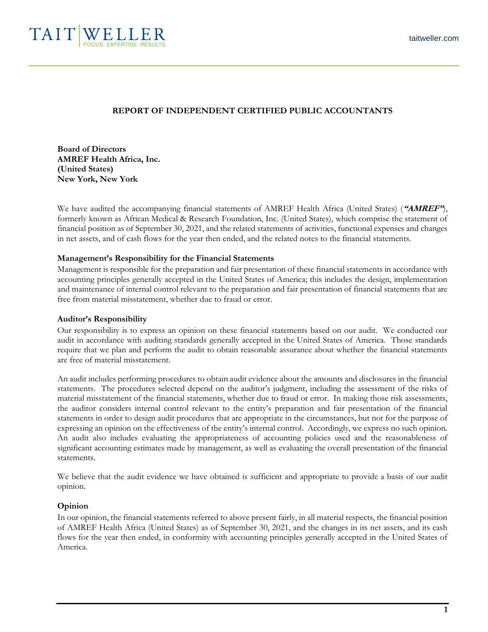

# **REPORT OF INDEPENDENT CERTIFIED PUBLIC ACCOUNTANTS**

**Board of Directors AMREF Health Africa, Inc. (United States) New York, New York**

We have audited the accompanying financial statements of AMREF Health Africa (United States) (**"AMREF"**), formerly known as African Medical & Research Foundation, Inc. (United States), which comprise the statement of financial position as of September 30, 2021, and the related statements of activities, functional expenses and changes in net assets, and of cash flows for the year then ended, and the related notes to the financial statements.

### **Management's Responsibility for the Financial Statements**

Management is responsible for the preparation and fair presentation of these financial statements in accordance with accounting principles generally accepted in the United States of America; this includes the design, implementation and maintenance of internal control relevant to the preparation and fair presentation of financial statements that are free from material misstatement, whether due to fraud or error.

#### **Auditor's Responsibility**

Our responsibility is to express an opinion on these financial statements based on our audit. We conducted our audit in accordance with auditing standards generally accepted in the United States of America. Those standards require that we plan and perform the audit to obtain reasonable assurance about whether the financial statements are free of material misstatement.

An audit includes performing procedures to obtain audit evidence about the amounts and disclosures in the financial statements. The procedures selected depend on the auditor's judgment, including the assessment of the risks of material misstatement of the financial statements, whether due to fraud or error. In making those risk assessments, the auditor considers internal control relevant to the entity's preparation and fair presentation of the financial statements in order to design audit procedures that are appropriate in the circumstances, but not for the purpose of expressing an opinion on the effectiveness of the entity's internal control. Accordingly, we express no such opinion. An audit also includes evaluating the appropriateness of accounting policies used and the reasonableness of significant accounting estimates made by management, as well as evaluating the overall presentation of the financial statements.

We believe that the audit evidence we have obtained is sufficient and appropriate to provide a basis of our audit opinion.

### **Opinion**

In our opinion, the financial statements referred to above present fairly, in all material respects, the financial position of AMREF Health Africa (United States) as of September 30, 2021, and the changes in its net assets, and its cash flows for the year then ended, in conformity with accounting principles generally accepted in the United States of America.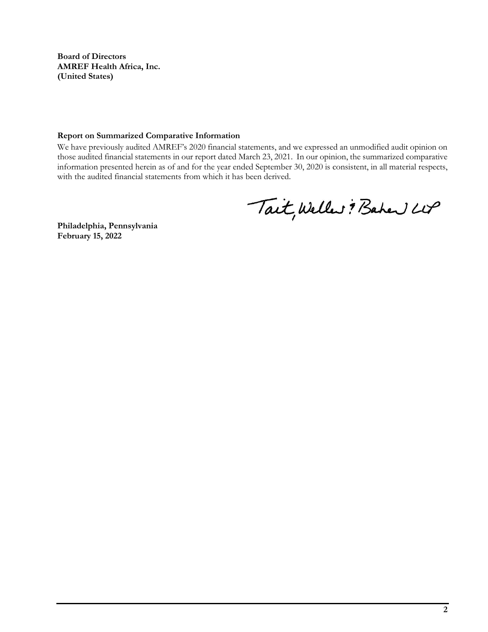**Board of Directors AMREF Health Africa, Inc. (United States)**

#### **Report on Summarized Comparative Information**

We have previously audited AMREF's 2020 financial statements, and we expressed an unmodified audit opinion on those audited financial statements in our report dated March 23, 2021. In our opinion, the summarized comparative information presented herein as of and for the year ended September 30, 2020 is consistent, in all material respects, with the audited financial statements from which it has been derived.

Tait, Weller : Baher LUP

**Philadelphia, Pennsylvania February 15, 2022**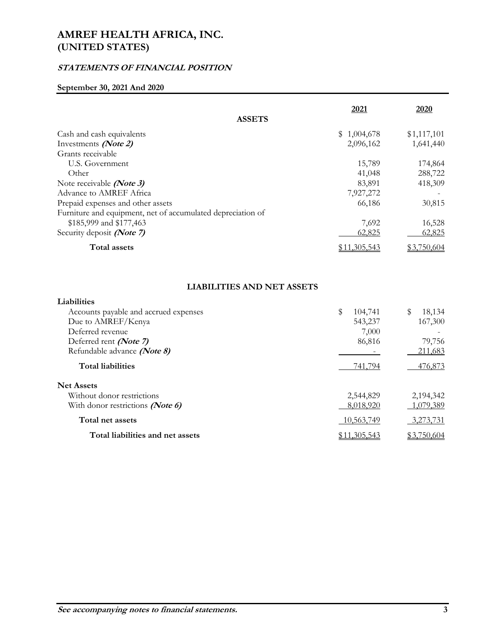# **STATEMENTS OF FINANCIAL POSITION**

## **September 30, 2021 And 2020**

|                                                             | 2021                | 2020        |
|-------------------------------------------------------------|---------------------|-------------|
| <b>ASSETS</b>                                               |                     |             |
| Cash and cash equivalents                                   | \$1,004,678         | \$1,117,101 |
| Investments (Note 2)                                        | 2,096,162           | 1,641,440   |
| Grants receivable                                           |                     |             |
| U.S. Government                                             | 15,789              | 174,864     |
| Other                                                       | 41,048              | 288,722     |
| Note receivable <i>(Note 3)</i>                             | 83,891              | 418,309     |
| Advance to AMREF Africa                                     | 7,927,272           |             |
| Prepaid expenses and other assets                           | 66,186              | 30,815      |
| Furniture and equipment, net of accumulated depreciation of |                     |             |
| \$185,999 and \$177,463                                     | 7,692               | 16,528      |
| Security deposit (Note 7)                                   | 62,825              | 62,825      |
| <b>Total assets</b>                                         | <u>\$11,305,543</u> | \$3,750,604 |

# **LIABILITIES AND NET ASSETS**

| Liabilities                           |               |              |
|---------------------------------------|---------------|--------------|
| Accounts payable and accrued expenses | \$<br>104,741 | \$<br>18,134 |
| Due to AMREF/Kenya                    | 543,237       | 167,300      |
| Deferred revenue                      | 7,000         |              |
| Deferred rent (Note 7)                | 86,816        | 79,756       |
| Refundable advance (Note 8)           |               | 211,683      |
| <b>Total liabilities</b>              | 741.794       | 476,873      |
| <b>Net Assets</b>                     |               |              |
| Without donor restrictions            | 2,544,829     | 2,194,342    |
| With donor restrictions (Note 6)      | 8,018,920     | 1,079,389    |
| Total net assets                      | 10,563,749    | 3,273,731    |
| Total liabilities and net assets      | 1,305,543     | \$3,750,604  |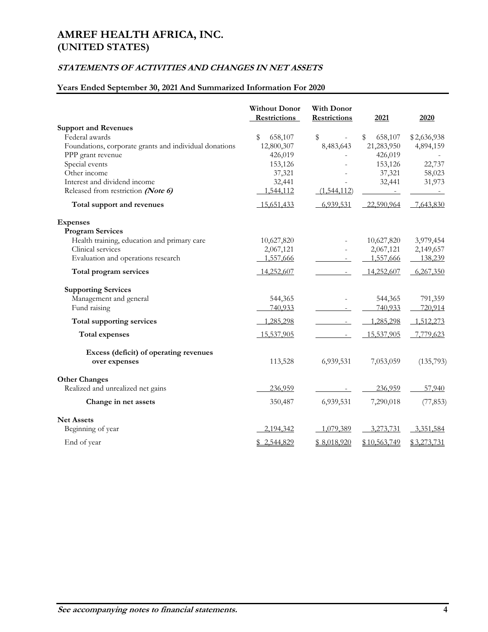# **STATEMENTS OF ACTIVITIES AND CHANGES IN NET ASSETS**

# **Years Ended September 30, 2021 And Summarized Information For 2020**

|                                                        | <b>Without Donor</b><br><b>Restrictions</b> | <b>With Donor</b><br><b>Restrictions</b> | 2021          | 2020        |
|--------------------------------------------------------|---------------------------------------------|------------------------------------------|---------------|-------------|
| <b>Support and Revenues</b>                            |                                             |                                          |               |             |
| Federal awards                                         | \$<br>658,107                               | \$<br>$\bar{a}$                          | \$<br>658,107 | \$2,636,938 |
| Foundations, corporate grants and individual donations | 12,800,307                                  | 8,483,643                                | 21,283,950    | 4,894,159   |
| PPP grant revenue                                      | 426,019                                     |                                          | 426,019       |             |
| Special events                                         | 153,126                                     |                                          | 153,126       | 22,737      |
| Other income                                           | 37,321                                      |                                          | 37,321        | 58,023      |
| Interest and dividend income                           | 32,441                                      |                                          | 32,441        | 31,973      |
| Released from restriction (Note 6)                     | 1,544,112                                   | (1,544,112)                              |               |             |
| Total support and revenues                             | 15,651,433                                  | 6,939,531                                | 22,590,964    | 7,643,830   |
| <b>Expenses</b>                                        |                                             |                                          |               |             |
| <b>Program Services</b>                                |                                             |                                          |               |             |
| Health training, education and primary care            | 10,627,820                                  |                                          | 10,627,820    | 3,979,454   |
| Clinical services                                      | 2,067,121                                   |                                          | 2,067,121     | 2,149,657   |
| Evaluation and operations research                     | 1,557,666                                   |                                          | 1,557,666     | 138,239     |
| Total program services                                 | 14,252,607                                  | $\overline{\phantom{a}}$                 | 14,252,607    | 6,267,350   |
| <b>Supporting Services</b>                             |                                             |                                          |               |             |
| Management and general                                 | 544,365                                     |                                          | 544,365       | 791,359     |
| Fund raising                                           | 740,933                                     |                                          | 740,933       | 720,914     |
| Total supporting services                              | 1,285,298                                   | $\sim$                                   | 1,285,298     | 1,512,273   |
| <b>Total expenses</b>                                  | 15,537,905                                  | $\equiv$                                 | 15,537,905    | 7,779,623   |
| Excess (deficit) of operating revenues                 |                                             |                                          |               |             |
| over expenses                                          | 113,528                                     | 6,939,531                                | 7,053,059     | (135,793)   |
| <b>Other Changes</b>                                   |                                             |                                          |               |             |
| Realized and unrealized net gains                      | 236,959                                     |                                          | 236,959       | 57,940      |
| Change in net assets                                   | 350,487                                     | 6,939,531                                | 7,290,018     | (77, 853)   |
| <b>Net Assets</b>                                      |                                             |                                          |               |             |
| Beginning of year                                      | 2,194,342                                   | 1,079,389                                | 3,273,731     | 3,351,584   |
| End of year                                            | \$2,544,829                                 | \$8,018,920                              | \$10,563,749  | \$3,273,731 |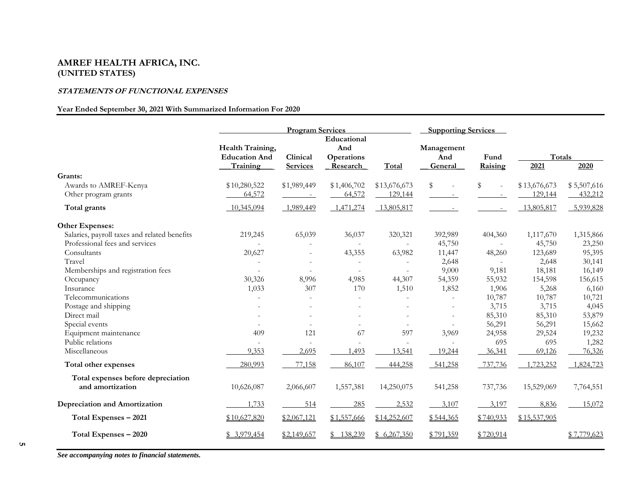### **STATEMENTS OF FUNCTIONAL EXPENSES**

### **Year Ended September 30, 2021 With Summarized Information For 2020**

|                                                        | <b>Program Services</b>                              |                             | <b>Supporting Services</b>                          |                          |                              |                                |                |             |
|--------------------------------------------------------|------------------------------------------------------|-----------------------------|-----------------------------------------------------|--------------------------|------------------------------|--------------------------------|----------------|-------------|
|                                                        | Health Training,<br><b>Education And</b><br>Training | Clinical<br><b>Services</b> | Educational<br>And<br><b>Operations</b><br>Research | Total                    | Management<br>And<br>General | Fund<br>Raising                | Totals<br>2021 | 2020        |
| Grants:                                                |                                                      |                             |                                                     |                          |                              |                                |                |             |
| Awards to AMREF-Kenya                                  | \$10,280,522                                         | \$1,989,449                 | \$1,406,702                                         | \$13,676,673             | \$                           | \$<br>$\overline{\phantom{a}}$ | \$13,676,673   | \$5,507,616 |
| Other program grants                                   | 64,572                                               |                             | 64,572                                              | 129,144                  |                              |                                | 129,144        | 432,212     |
| Total grants                                           | 10,345,094                                           | 1,989,449                   | 1,471,274                                           | 13,805,817               |                              |                                | 13,805,817     | 5,939,828   |
| Other Expenses:                                        |                                                      |                             |                                                     |                          |                              |                                |                |             |
| Salaries, payroll taxes and related benefits           | 219,245                                              | 65,039                      | 36,037                                              | 320,321                  | 392,989                      | 404,360                        | 1,117,670      | 1,315,866   |
| Professional fees and services                         |                                                      | ÷.                          | $\sim$                                              | $\overline{\phantom{0}}$ | 45,750                       |                                | 45,750         | 23,250      |
| Consultants                                            | 20,627                                               | $\sim$                      | 43,355                                              | 63,982                   | 11,447                       | 48,260                         | 123,689        | 95,395      |
| Travel                                                 |                                                      |                             | $\sim$                                              |                          | 2,648                        |                                | 2,648          | 30,141      |
| Memberships and registration fees                      |                                                      |                             |                                                     |                          | 9,000                        | 9,181                          | 18,181         | 16,149      |
| Occupancy                                              | 30,326                                               | 8,996                       | 4,985                                               | 44,307                   | 54,359                       | 55,932                         | 154,598        | 156,615     |
| Insurance                                              | 1,033                                                | 307                         | 170                                                 | 1,510                    | 1,852                        | 1,906                          | 5,268          | 6,160       |
| Telecommunications                                     |                                                      |                             |                                                     |                          | $\overline{\phantom{a}}$     | 10,787                         | 10,787         | 10,721      |
| Postage and shipping                                   |                                                      |                             |                                                     |                          |                              | 3,715                          | 3,715          | 4,045       |
| Direct mail                                            |                                                      |                             |                                                     |                          |                              | 85,310                         | 85,310         | 53,879      |
| Special events                                         |                                                      |                             |                                                     |                          |                              | 56,291                         | 56,291         | 15,662      |
| Equipment maintenance                                  | 409                                                  | 121                         | 67                                                  | 597                      | 3,969                        | 24,958                         | 29,524         | 19,232      |
| Public relations                                       |                                                      |                             | ÷,                                                  |                          |                              | 695                            | 695            | 1,282       |
| Miscellaneous                                          | 9.353                                                | 2,695                       | .493                                                | 13,541                   | 19,244                       | 36,341                         | 69,126         | 76,326      |
| Total other expenses                                   | 280,993                                              | 77,158                      | 86,107                                              | 444,258                  | 541,258                      | 737,736                        | 1,723,252      | 1,824,723   |
| Total expenses before depreciation<br>and amortization | 10,626,087                                           | 2,066,607                   | 1,557,381                                           | 14,250,075               | 541,258                      | 737,736                        | 15,529,069     | 7,764,551   |
| Depreciation and Amortization                          | 1,733                                                | 514                         | 285                                                 | 2,532                    | 3,107                        | 3,197                          | 8,836          | 15,072      |
| Total Expenses - 2021                                  | \$10,627,820                                         | \$2,067,121                 | \$1,557,666                                         | \$14,252,607             | \$544,365                    | \$740,933                      | \$15,537,905   |             |
| Total Expenses - 2020                                  | \$3,979,454                                          | \$2,149,657                 | 138,239                                             | \$6,267,350              | \$791,359                    | \$720,914                      |                | \$7,779,623 |

*See accompanying notes to financial statements.*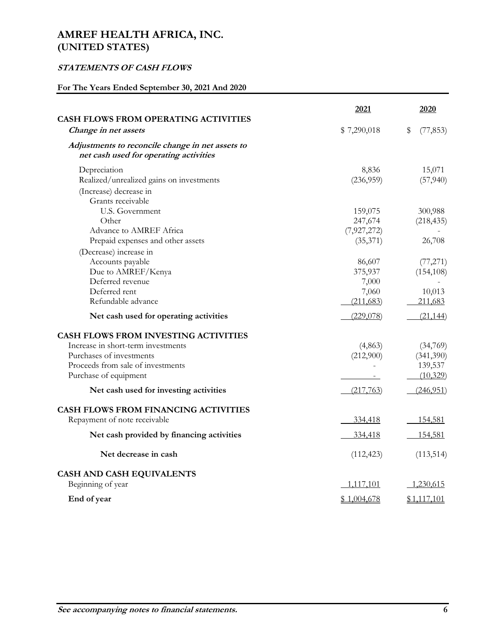# **STATEMENTS OF CASH FLOWS**

# **For The Years Ended September 30, 2021 And 2020**

|                                                                                                                                                                      | 2021                                | 2020                                         |
|----------------------------------------------------------------------------------------------------------------------------------------------------------------------|-------------------------------------|----------------------------------------------|
| <b>CASH FLOWS FROM OPERATING ACTIVITIES</b><br>Change in net assets                                                                                                  | \$7,290,018                         | \$<br>(77, 853)                              |
| Adjustments to reconcile change in net assets to<br>net cash used for operating activities                                                                           |                                     |                                              |
| Depreciation<br>Realized/unrealized gains on investments                                                                                                             | 8,836<br>(236,959)                  | 15,071<br>(57, 940)                          |
| (Increase) decrease in<br>Grants receivable                                                                                                                          |                                     |                                              |
| U.S. Government<br>Other<br>Advance to AMREF Africa                                                                                                                  | 159,075<br>247,674<br>(7,927,272)   | 300,988<br>(218, 435)                        |
| Prepaid expenses and other assets<br>(Decrease) increase in                                                                                                          | (35,371)                            | 26,708                                       |
| Accounts payable<br>Due to AMREF/Kenya<br>Deferred revenue<br>Deferred rent                                                                                          | 86,607<br>375,937<br>7,000<br>7,060 | (77, 271)<br>(154, 108)<br>10,013            |
| Refundable advance                                                                                                                                                   | (211, 683)                          | 211,683                                      |
| Net cash used for operating activities                                                                                                                               | (229,078)                           | (21, 144)                                    |
| CASH FLOWS FROM INVESTING ACTIVITIES<br>Increase in short-term investments<br>Purchases of investments<br>Proceeds from sale of investments<br>Purchase of equipment | (4,863)<br>(212,900)                | (34,769)<br>(341,390)<br>139,537<br>(10,329) |
| Net cash used for investing activities                                                                                                                               | (217,763)                           | (246, 951)                                   |
| <b>CASH FLOWS FROM FINANCING ACTIVITIES</b><br>Repayment of note receivable                                                                                          | 334,418                             | 154,581                                      |
| Net cash provided by financing activities                                                                                                                            | 334,418                             | 154,581                                      |
| Net decrease in cash                                                                                                                                                 | (112, 423)                          | (113, 514)                                   |
| CASH AND CASH EQUIVALENTS<br>Beginning of year                                                                                                                       | 1,117,101                           | 1,230,615                                    |
| End of year                                                                                                                                                          | \$1,004,678                         | \$1,117,101                                  |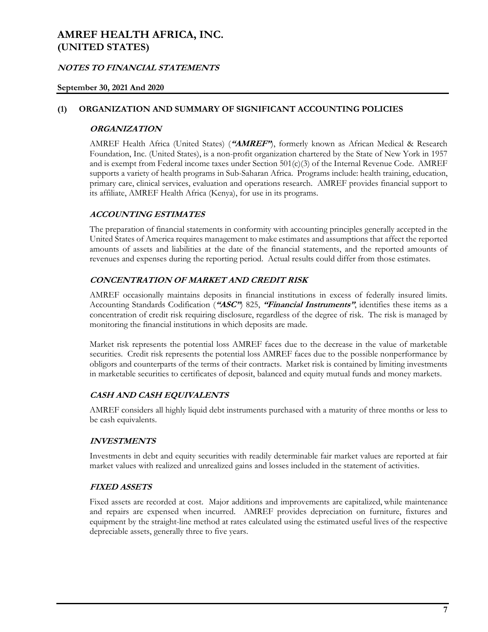# **NOTES TO FINANCIAL STATEMENTS**

### **September 30, 2021 And 2020**

### **(1) ORGANIZATION AND SUMMARY OF SIGNIFICANT ACCOUNTING POLICIES**

### **ORGANIZATION**

AMREF Health Africa (United States) (**"AMREF"**), formerly known as African Medical & Research Foundation, Inc. (United States), is a non-profit organization chartered by the State of New York in 1957 and is exempt from Federal income taxes under Section 501(c)(3) of the Internal Revenue Code. AMREF supports a variety of health programs in Sub-Saharan Africa. Programs include: health training, education, primary care, clinical services, evaluation and operations research. AMREF provides financial support to its affiliate, AMREF Health Africa (Kenya), for use in its programs.

### **ACCOUNTING ESTIMATES**

The preparation of financial statements in conformity with accounting principles generally accepted in the United States of America requires management to make estimates and assumptions that affect the reported amounts of assets and liabilities at the date of the financial statements, and the reported amounts of revenues and expenses during the reporting period. Actual results could differ from those estimates.

### **CONCENTRATION OF MARKET AND CREDIT RISK**

AMREF occasionally maintains deposits in financial institutions in excess of federally insured limits. Accounting Standards Codification (**"ASC"**) 825, **"Financial Instruments"**, identifies these items as a concentration of credit risk requiring disclosure, regardless of the degree of risk. The risk is managed by monitoring the financial institutions in which deposits are made.

Market risk represents the potential loss AMREF faces due to the decrease in the value of marketable securities. Credit risk represents the potential loss AMREF faces due to the possible nonperformance by obligors and counterparts of the terms of their contracts. Market risk is contained by limiting investments in marketable securities to certificates of deposit, balanced and equity mutual funds and money markets.

### **CASH AND CASH EQUIVALENTS**

AMREF considers all highly liquid debt instruments purchased with a maturity of three months or less to be cash equivalents.

### **INVESTMENTS**

Investments in debt and equity securities with readily determinable fair market values are reported at fair market values with realized and unrealized gains and losses included in the statement of activities.

#### **FIXED ASSETS**

Fixed assets are recorded at cost. Major additions and improvements are capitalized, while maintenance and repairs are expensed when incurred. AMREF provides depreciation on furniture, fixtures and equipment by the straight-line method at rates calculated using the estimated useful lives of the respective depreciable assets, generally three to five years.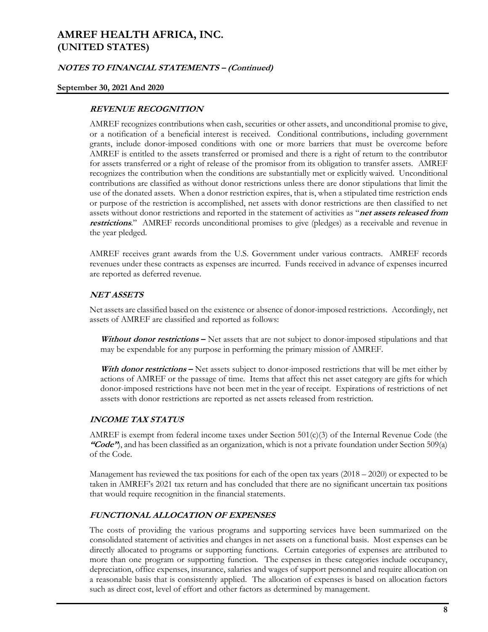### **NOTES TO FINANCIAL STATEMENTS – (Continued)**

#### **September 30, 2021 And 2020**

### **REVENUE RECOGNITION**

AMREF recognizes contributions when cash, securities or other assets, and unconditional promise to give, or a notification of a beneficial interest is received. Conditional contributions, including government grants, include donor-imposed conditions with one or more barriers that must be overcome before AMREF is entitled to the assets transferred or promised and there is a right of return to the contributor for assets transferred or a right of release of the promisor from its obligation to transfer assets. AMREF recognizes the contribution when the conditions are substantially met or explicitly waived. Unconditional contributions are classified as without donor restrictions unless there are donor stipulations that limit the use of the donated assets. When a donor restriction expires, that is, when a stipulated time restriction ends or purpose of the restriction is accomplished, net assets with donor restrictions are then classified to net assets without donor restrictions and reported in the statement of activities as "**net assets released from restrictions**." AMREF records unconditional promises to give (pledges) as a receivable and revenue in the year pledged.

AMREF receives grant awards from the U.S. Government under various contracts. AMREF records revenues under these contracts as expenses are incurred. Funds received in advance of expenses incurred are reported as deferred revenue.

### **NET ASSETS**

Net assets are classified based on the existence or absence of donor-imposed restrictions. Accordingly, net assets of AMREF are classified and reported as follows:

**Without donor restrictions –** Net assets that are not subject to donor-imposed stipulations and that may be expendable for any purpose in performing the primary mission of AMREF.

With **donor restrictions** – Net assets subject to donor-imposed restrictions that will be met either by actions of AMREF or the passage of time. Items that affect this net asset category are gifts for which donor-imposed restrictions have not been met in the year of receipt. Expirations of restrictions of net assets with donor restrictions are reported as net assets released from restriction.

### **INCOME TAX STATUS**

AMREF is exempt from federal income taxes under Section 501(c)(3) of the Internal Revenue Code (the **"Code"**), and has been classified as an organization, which is not a private foundation under Section 509(a) of the Code.

Management has reviewed the tax positions for each of the open tax years  $(2018 - 2020)$  or expected to be taken in AMREF's 2021 tax return and has concluded that there are no significant uncertain tax positions that would require recognition in the financial statements.

### **FUNCTIONAL ALLOCATION OF EXPENSES**

The costs of providing the various programs and supporting services have been summarized on the consolidated statement of activities and changes in net assets on a functional basis. Most expenses can be directly allocated to programs or supporting functions. Certain categories of expenses are attributed to more than one program or supporting function. The expenses in these categories include occupancy, depreciation, office expenses, insurance, salaries and wages of support personnel and require allocation on a reasonable basis that is consistently applied. The allocation of expenses is based on allocation factors such as direct cost, level of effort and other factors as determined by management.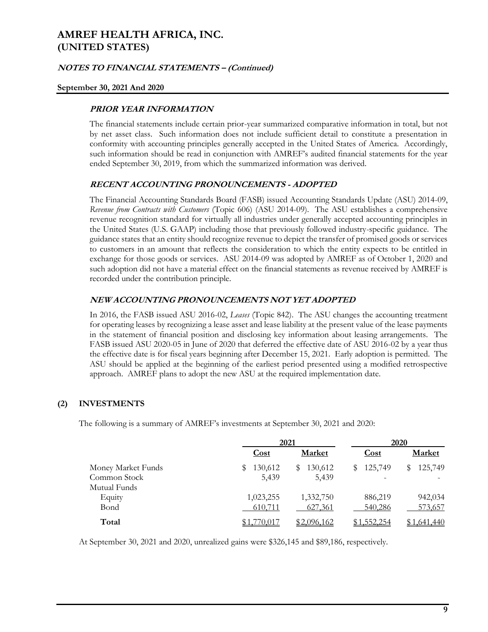### **NOTES TO FINANCIAL STATEMENTS – (Continued)**

#### **September 30, 2021 And 2020**

### **PRIOR YEAR INFORMATION**

The financial statements include certain prior-year summarized comparative information in total, but not by net asset class. Such information does not include sufficient detail to constitute a presentation in conformity with accounting principles generally accepted in the United States of America. Accordingly, such information should be read in conjunction with AMREF's audited financial statements for the year ended September 30, 2019, from which the summarized information was derived.

## **RECENT ACCOUNTING PRONOUNCEMENTS - ADOPTED**

The Financial Accounting Standards Board (FASB) issued Accounting Standards Update (ASU) 2014-09, *Revenue from Contracts with Customers* (Topic 606) (ASU 2014-09). The ASU establishes a comprehensive revenue recognition standard for virtually all industries under generally accepted accounting principles in the United States (U.S. GAAP) including those that previously followed industry-specific guidance. The guidance states that an entity should recognize revenue to depict the transfer of promised goods or services to customers in an amount that reflects the consideration to which the entity expects to be entitled in exchange for those goods or services. ASU 2014-09 was adopted by AMREF as of October 1, 2020 and such adoption did not have a material effect on the financial statements as revenue received by AMREF is recorded under the contribution principle.

### **NEW ACCOUNTING PRONOUNCEMENTS NOT YET ADOPTED**

In 2016, the FASB issued ASU 2016-02, *Leases* (Topic 842). The ASU changes the accounting treatment for operating leases by recognizing a lease asset and lease liability at the present value of the lease payments in the statement of financial position and disclosing key information about leasing arrangements. The FASB issued ASU 2020-05 in June of 2020 that deferred the effective date of ASU 2016-02 by a year thus the effective date is for fiscal years beginning after December 15, 2021. Early adoption is permitted. The ASU should be applied at the beginning of the earliest period presented using a modified retrospective approach. AMREF plans to adopt the new ASU at the required implementation date.

# **(2) INVESTMENTS**

The following is a summary of AMREF's investments at September 30, 2021 and 2020:

|                    |              | 2021          |             | 2020          |
|--------------------|--------------|---------------|-------------|---------------|
|                    | <b>Cost</b>  | <b>Market</b> | <b>Cost</b> | Market        |
| Money Market Funds | 130,612<br>S | 130,612<br>S  | 125,749     | 125,749<br>S. |
| Common Stock       | 5,439        | 5,439         |             |               |
| Mutual Funds       |              |               |             |               |
| Equity             | 1,023,255    | 1,332,750     | 886,219     | 942,034       |
| Bond               | 610,711      | 627,361       | 540,286     | 573,657       |
| Total              | 70.011       | \$2,096,162   | \$1,552,254 | 440.641 ل     |

At September 30, 2021 and 2020, unrealized gains were \$326,145 and \$89,186, respectively.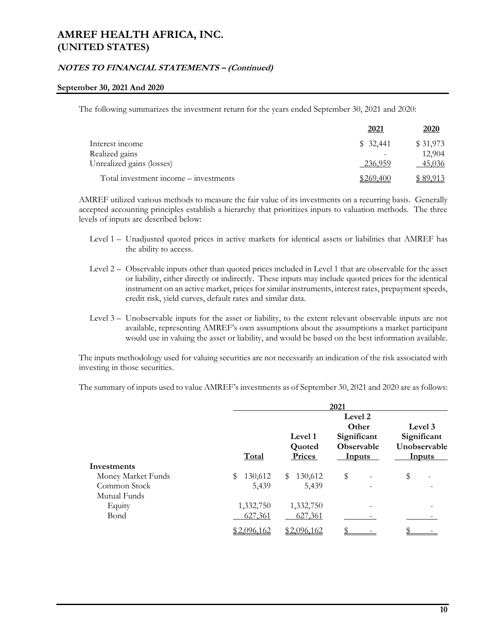### **NOTES TO FINANCIAL STATEMENTS – (Continued)**

#### **September 30, 2021 And 2020**

The following summarizes the investment return for the years ended September 30, 2021 and 2020:

|                                       | 2021      | 2020      |
|---------------------------------------|-----------|-----------|
| Interest income                       | \$32,441  | \$31,973  |
| Realized gains                        |           | 12.904    |
| Unrealized gains (losses)             | 236,959   | 45,036    |
| Total investment income - investments | \$269.400 | \$ 89.913 |

AMREF utilized various methods to measure the fair value of its investments on a recurring basis. Generally accepted accounting principles establish a hierarchy that prioritizes inputs to valuation methods. The three levels of inputs are described below:

- Level 1 Unadjusted quoted prices in active markets for identical assets or liabilities that AMREF has the ability to access.
- Level 2 Observable inputs other than quoted prices included in Level 1 that are observable for the asset or liability, either directly or indirectly. These inputs may include quoted prices for the identical instrument on an active market, prices for similar instruments, interest rates, prepayment speeds, credit risk, yield curves, default rates and similar data.
- Level 3 Unobservable inputs for the asset or liability, to the extent relevant observable inputs are not available, representing AMREF's own assumptions about the assumptions a market participant would use in valuing the asset or liability, and would be based on the best information available.

The inputs methodology used for valuing securities are not necessarily an indication of the risk associated with investing in those securities.

The summary of inputs used to value AMREF's investments as of September 30, 2021 and 2020 are as follows:

|                    |               |                             | 2021                                                                  |                                                         |
|--------------------|---------------|-----------------------------|-----------------------------------------------------------------------|---------------------------------------------------------|
|                    | Total         | Level 1<br>Quoted<br>Prices | Level 2<br>Other<br>Significant<br><b>Observable</b><br><b>Inputs</b> | Level 3<br>Significant<br>Unobservable<br><b>Inputs</b> |
| Investments        |               |                             |                                                                       |                                                         |
| Money Market Funds | \$<br>130,612 | 130,612<br>\$               | \$                                                                    | \$                                                      |
| Common Stock       | 5,439         | 5,439                       |                                                                       |                                                         |
| Mutual Funds       |               |                             |                                                                       |                                                         |
| Equity             | 1,332,750     | 1,332,750                   |                                                                       |                                                         |
| Bond               | 627,361       | 627,361                     |                                                                       |                                                         |
|                    | \$2,096,162   | \$2,096,162                 |                                                                       |                                                         |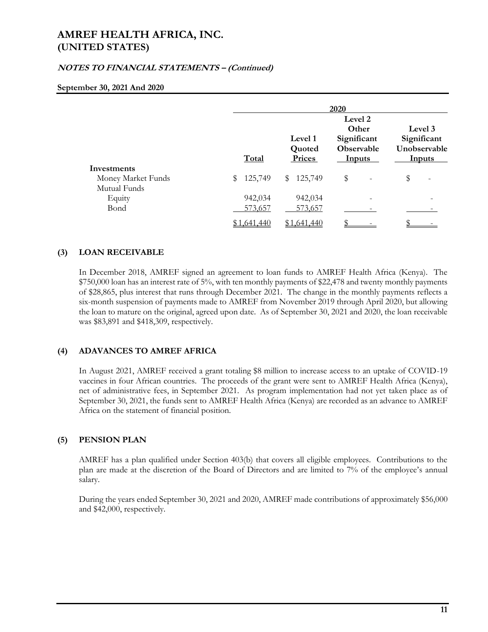# **NOTES TO FINANCIAL STATEMENTS – (Continued)**

#### **September 30, 2021 And 2020**

|                    |                           |                   | 2020                                                 |                                        |
|--------------------|---------------------------|-------------------|------------------------------------------------------|----------------------------------------|
|                    |                           | Level 1<br>Quoted | Level 2<br>Other<br>Significant<br><b>Observable</b> | Level 3<br>Significant<br>Unobservable |
|                    | Total                     | Prices            | <b>Inputs</b>                                        | <b>Inputs</b>                          |
| Investments        |                           |                   |                                                      |                                        |
| Money Market Funds | 125,749<br>$\mathbb{S}^-$ | \$125,749         | \$                                                   | \$                                     |
| Mutual Funds       |                           |                   |                                                      |                                        |
| Equity             | 942,034                   | 942,034           |                                                      |                                        |
| Bond               | 573,657                   | 573,657           |                                                      |                                        |
|                    | \$1,641,440               | 1,641,440         |                                                      |                                        |

## **(3) LOAN RECEIVABLE**

In December 2018, AMREF signed an agreement to loan funds to AMREF Health Africa (Kenya). The \$750,000 loan has an interest rate of 5%, with ten monthly payments of \$22,478 and twenty monthly payments of \$28,865, plus interest that runs through December 2021. The change in the monthly payments reflects a six-month suspension of payments made to AMREF from November 2019 through April 2020, but allowing the loan to mature on the original, agreed upon date. As of September 30, 2021 and 2020, the loan receivable was \$83,891 and \$418,309, respectively.

### **(4) ADAVANCES TO AMREF AFRICA**

In August 2021, AMREF received a grant totaling \$8 million to increase access to an uptake of COVID-19 vaccines in four African countries. The proceeds of the grant were sent to AMREF Health Africa (Kenya), net of administrative fees, in September 2021. As program implementation had not yet taken place as of September 30, 2021, the funds sent to AMREF Health Africa (Kenya) are recorded as an advance to AMREF Africa on the statement of financial position.

### **(5) PENSION PLAN**

AMREF has a plan qualified under Section 403(b) that covers all eligible employees. Contributions to the plan are made at the discretion of the Board of Directors and are limited to 7% of the employee's annual salary.

During the years ended September 30, 2021 and 2020, AMREF made contributions of approximately \$56,000 and \$42,000, respectively.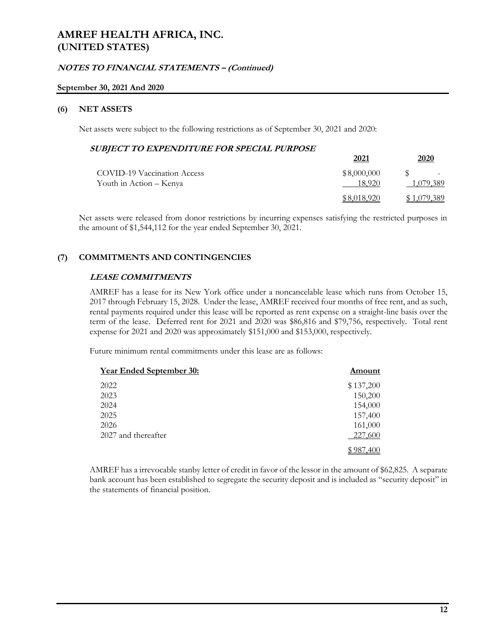### **NOTES TO FINANCIAL STATEMENTS – (Continued)**

#### **September 30, 2021 And 2020**

### **(6) NET ASSETS**

Net assets were subject to the following restrictions as of September 30, 2021 and 2020:

### **SUBJECT TO EXPENDITURE FOR SPECIAL PURPOSE**

|                                    | 2021        | 2020        |
|------------------------------------|-------------|-------------|
| <b>COVID-19 Vaccination Access</b> | \$8,000,000 |             |
| Youth in Action – Kenya            | 18.920      | 1,079,389   |
|                                    | \$8,018,920 | \$1,079,389 |

Net assets were released from donor restrictions by incurring expenses satisfying the restricted purposes in the amount of \$1,544,112 for the year ended September 30, 2021.

## **(7) COMMITMENTS AND CONTINGENCIES**

### **LEASE COMMITMENTS**

AMREF has a lease for its New York office under a noncancelable lease which runs from October 15, 2017 through February 15, 2028. Under the lease, AMREF received four months of free rent, and as such, rental payments required under this lease will be reported as rent expense on a straight-line basis over the term of the lease. Deferred rent for 2021 and 2020 was \$86,816 and \$79,756, respectively. Total rent expense for 2021 and 2020 was approximately \$151,000 and \$153,000, respectively.

Future minimum rental commitments under this lease are as follows:

| <b>Year Ended September 30:</b> | Amount    |
|---------------------------------|-----------|
| 2022                            | \$137,200 |
| 2023                            | 150,200   |
| 2024                            | 154,000   |
| 2025                            | 157,400   |
| 2026                            | 161,000   |
| 2027 and thereafter             | 227,600   |
|                                 |           |

AMREF has a irrevocable stanby letter of credit in favor of the lessor in the amount of \$62,825. A separate bank account has been established to segregate the security deposit and is included as "security deposit" in the statements of financial position.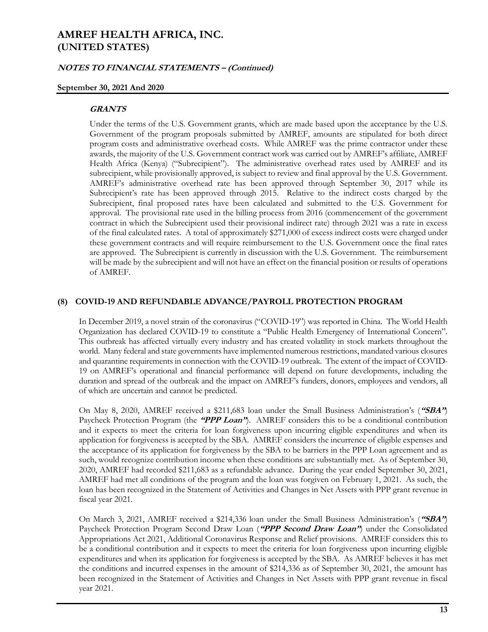### **NOTES TO FINANCIAL STATEMENTS – (Continued)**

#### **September 30, 2021 And 2020**

#### **GRANTS**

Under the terms of the U.S. Government grants, which are made based upon the acceptance by the U.S. Government of the program proposals submitted by AMREF, amounts are stipulated for both direct program costs and administrative overhead costs. While AMREF was the prime contractor under these awards, the majority of the U.S. Government contract work was carried out by AMREF's affiliate, AMREF Health Africa (Kenya) ("Subrecipient"). The administrative overhead rates used by AMREF and its subrecipient, while provisionally approved, is subject to review and final approval by the U.S. Government. AMREF's administrative overhead rate has been approved through September 30, 2017 while its Subrecipient's rate has been approved through 2015. Relative to the indirect costs charged by the Subrecipient, final proposed rates have been calculated and submitted to the U.S. Government for approval. The provisional rate used in the billing process from 2016 (commencement of the government contract in which the Subrecipient used their provisional indirect rate) through 2021 was a rate in excess of the final calculated rates. A total of approximately \$271,000 of excess indirect costs were charged under these government contracts and will require reimbursement to the U.S. Government once the final rates are approved. The Subrecipient is currently in discussion with the U.S. Government. The reimbursement will be made by the subrecipient and will not have an effect on the financial position or results of operations of AMREF.

#### **(8) COVID-19 AND REFUNDABLE ADVANCE/PAYROLL PROTECTION PROGRAM**

In December 2019, a novel strain of the coronavirus ("COVID-19") was reported in China. The World Health Organization has declared COVID-19 to constitute a "Public Health Emergency of International Concern". This outbreak has affected virtually every industry and has created volatility in stock markets throughout the world. Many federal and state governments have implemented numerous restrictions, mandated various closures and quarantine requirements in connection with the COVID-19 outbreak. The extent of the impact of COVID-19 on AMREF's operational and financial performance will depend on future developments, including the duration and spread of the outbreak and the impact on AMREF's funders, donors, employees and vendors, all of which are uncertain and cannot be predicted.

On May 8, 2020, AMREF received a \$211,683 loan under the Small Business Administration's (**"SBA"**) Paycheck Protection Program (the **"PPP Loan"**). AMREF considers this to be a conditional contribution and it expects to meet the criteria for loan forgiveness upon incurring eligible expenditures and when its application for forgiveness is accepted by the SBA. AMREF considers the incurrence of eligible expenses and the acceptance of its application for forgiveness by the SBA to be barriers in the PPP Loan agreement and as such, would recognize contribution income when these conditions are substantially met. As of September 30, 2020, AMREF had recorded \$211,683 as a refundable advance. During the year ended September 30, 2021, AMREF had met all conditions of the program and the loan was forgiven on February 1, 2021. As such, the loan has been recognized in the Statement of Activities and Changes in Net Assets with PPP grant revenue in fiscal year 2021.

On March 3, 2021, AMREF received a \$214,336 loan under the Small Business Administration's (**"SBA"**) Paycheck Protection Program Second Draw Loan (**"PPP Second Draw Loan"**) under the Consolidated Appropriations Act 2021, Additional Coronavirus Response and Relief provisions. AMREF considers this to be a conditional contribution and it expects to meet the criteria for loan forgiveness upon incurring eligible expenditures and when its application for forgiveness is accepted by the SBA. As AMREF believes it has met the conditions and incurred expenses in the amount of \$214,336 as of September 30, 2021, the amount has been recognized in the Statement of Activities and Changes in Net Assets with PPP grant revenue in fiscal year 2021.